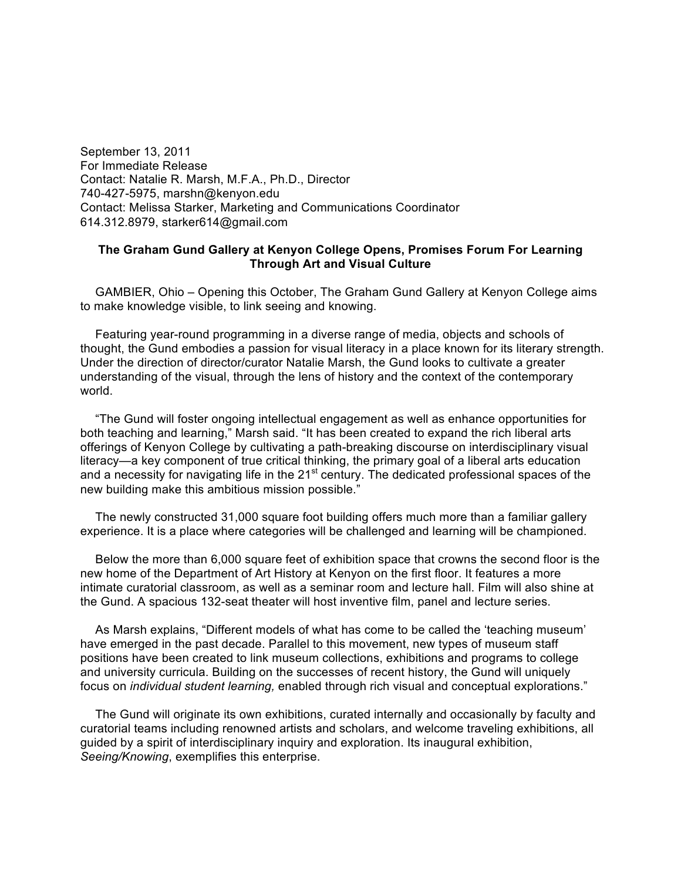September 13, 2011 For Immediate Release Contact: Natalie R. Marsh, M.F.A., Ph.D., Director 740-427-5975, marshn@kenyon.edu Contact: Melissa Starker, Marketing and Communications Coordinator 614.312.8979, starker614@gmail.com

## **The Graham Gund Gallery at Kenyon College Opens, Promises Forum For Learning Through Art and Visual Culture**

GAMBIER, Ohio – Opening this October, The Graham Gund Gallery at Kenyon College aims to make knowledge visible, to link seeing and knowing.

Featuring year-round programming in a diverse range of media, objects and schools of thought, the Gund embodies a passion for visual literacy in a place known for its literary strength. Under the direction of director/curator Natalie Marsh, the Gund looks to cultivate a greater understanding of the visual, through the lens of history and the context of the contemporary world.

"The Gund will foster ongoing intellectual engagement as well as enhance opportunities for both teaching and learning," Marsh said. "It has been created to expand the rich liberal arts offerings of Kenyon College by cultivating a path-breaking discourse on interdisciplinary visual literacy—a key component of true critical thinking, the primary goal of a liberal arts education and a necessity for navigating life in the 21<sup>st</sup> century. The dedicated professional spaces of the new building make this ambitious mission possible."

The newly constructed 31,000 square foot building offers much more than a familiar gallery experience. It is a place where categories will be challenged and learning will be championed.

Below the more than 6,000 square feet of exhibition space that crowns the second floor is the new home of the Department of Art History at Kenyon on the first floor. It features a more intimate curatorial classroom, as well as a seminar room and lecture hall. Film will also shine at the Gund. A spacious 132-seat theater will host inventive film, panel and lecture series.

As Marsh explains, "Different models of what has come to be called the 'teaching museum' have emerged in the past decade. Parallel to this movement, new types of museum staff positions have been created to link museum collections, exhibitions and programs to college and university curricula. Building on the successes of recent history, the Gund will uniquely focus on *individual student learning,* enabled through rich visual and conceptual explorations."

The Gund will originate its own exhibitions, curated internally and occasionally by faculty and curatorial teams including renowned artists and scholars, and welcome traveling exhibitions, all guided by a spirit of interdisciplinary inquiry and exploration. Its inaugural exhibition, *Seeing/Knowing*, exemplifies this enterprise.